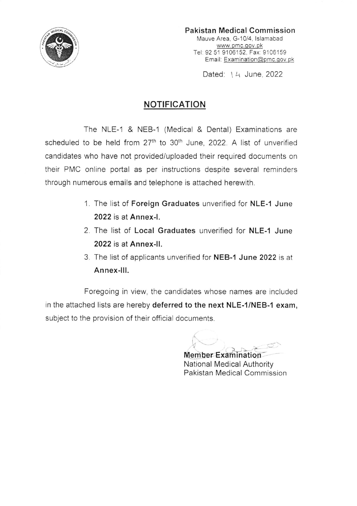

Pakistan Medical Commission Mauve Area, G-10/4, lslamabad www.pmc.gov.pk Tel: 92 51 9106152. Fax: 9106159 Email: Examination@pmc.gov.pk

Dated: 14 June. 2022

## NOTIFICATION

The NLE-1 & NEB-1 (Medical & Dental) Examinations are scheduled to be held from 27<sup>th</sup> to 30<sup>th</sup> June, 2022. A list of unverified candidates who have not provided/uploaded their required documents on their PMC online portal as per instructions despite several reminders through numerous emails and telephone is attached herewith.

- 1. The list of Foreign Graduates unverified for NLE-1 June 2022is at Annex-|.
- 2. The list of Local Graduates unverified for NLE-1 June 2022 is at Annex-ll.
- 3. The list of applicants unverified for NEB-1 June 2022 is at Annex-lll.

Foregoing in view, the candidates whose names are included in the attached lists are hereby deferred to the next NLE-1/NEB-1 exam, subject to the provision of their official documents.

 $\int$ **Member Examination** 

National Medical Authority Pakistan Medical Commission